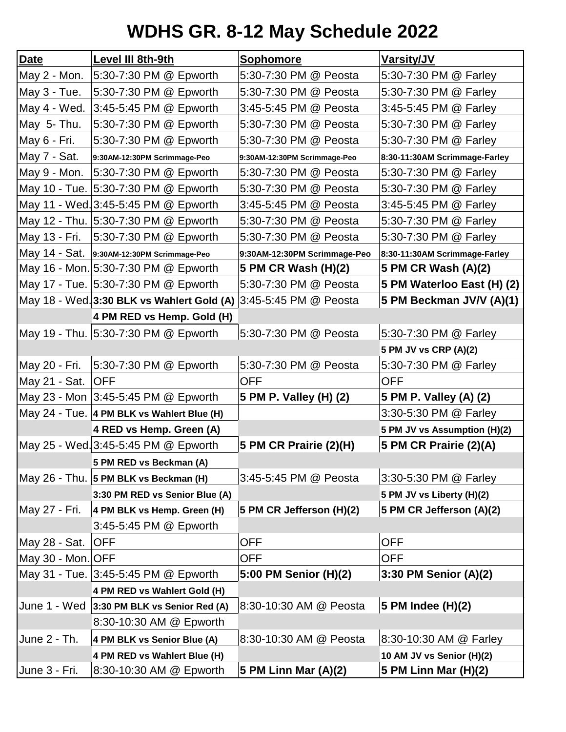## **WDHS GR. 8-12 May Schedule 2022**

| <b>Date</b>       | Level III 8th-9th                            | Sophomore                    | Varsity/JV                    |
|-------------------|----------------------------------------------|------------------------------|-------------------------------|
| May 2 - Mon.      | 5:30-7:30 PM @ Epworth                       | 5:30-7:30 PM @ Peosta        | 5:30-7:30 PM @ Farley         |
| May 3 - Tue.      | 5:30-7:30 PM @ Epworth                       | 5:30-7:30 PM @ Peosta        | 5:30-7:30 PM @ Farley         |
| May 4 - Wed.      | 3:45-5:45 PM @ Epworth                       | 3:45-5:45 PM @ Peosta        | 3:45-5:45 PM @ Farley         |
| May 5- Thu.       | 5:30-7:30 PM @ Epworth                       | 5:30-7:30 PM @ Peosta        | 5:30-7:30 PM @ Farley         |
| May 6 - Fri.      | 5:30-7:30 PM @ Epworth                       | 5:30-7:30 PM @ Peosta        | 5:30-7:30 PM @ Farley         |
| May 7 - Sat.      | 9:30AM-12:30PM Scrimmage-Peo                 | 9:30AM-12:30PM Scrimmage-Peo | 8:30-11:30AM Scrimmage-Farley |
|                   | May 9 - Mon. 5:30-7:30 PM @ Epworth          | 5:30-7:30 PM @ Peosta        | 5:30-7:30 PM @ Farley         |
|                   | May 10 - Tue. 5:30-7:30 PM @ Epworth         | 5:30-7:30 PM @ Peosta        | 5:30-7:30 PM @ Farley         |
|                   | May 11 - Wed. 3:45-5:45 PM @ Epworth         | 3:45-5:45 PM @ Peosta        | 3:45-5:45 PM @ Farley         |
|                   | May 12 - Thu. 5:30-7:30 PM @ Epworth         | 5:30-7:30 PM @ Peosta        | 5:30-7:30 PM @ Farley         |
|                   | May 13 - Fri. 5:30-7:30 PM @ Epworth         | 5:30-7:30 PM @ Peosta        | 5:30-7:30 PM @ Farley         |
|                   | May 14 - Sat. 9:30AM-12:30PM Scrimmage-Peo   | 9:30AM-12:30PM Scrimmage-Peo | 8:30-11:30AM Scrimmage-Farley |
|                   | May 16 - Mon. 5:30-7:30 PM @ Epworth         | 5 PM CR Wash (H)(2)          | 5 PM CR Wash (A)(2)           |
|                   | May 17 - Tue. 5:30-7:30 PM @ Epworth         | 5:30-7:30 PM @ Peosta        | 5 PM Waterloo East (H) (2)    |
|                   | May 18 - Wed. 3:30 BLK vs Wahlert Gold (A)   | 3:45-5:45 PM @ Peosta        | 5 PM Beckman JV/V (A)(1)      |
|                   | 4 PM RED vs Hemp. Gold (H)                   |                              |                               |
|                   | May 19 - Thu. 5:30-7:30 PM @ Epworth         | 5:30-7:30 PM @ Peosta        | 5:30-7:30 PM @ Farley         |
|                   |                                              |                              | 5 PM JV vs CRP (A)(2)         |
| May 20 - Fri.     | 5:30-7:30 PM @ Epworth                       | 5:30-7:30 PM @ Peosta        | 5:30-7:30 PM @ Farley         |
| May 21 - Sat.     | <b>OFF</b>                                   | <b>OFF</b>                   | <b>OFF</b>                    |
|                   | May 23 - Mon 3:45-5:45 PM @ Epworth          | 5 PM P. Valley (H) (2)       | 5 PM P. Valley (A) (2)        |
|                   | May 24 - Tue. 4 PM BLK vs Wahlert Blue (H)   |                              | 3:30-5:30 PM @ Farley         |
|                   | 4 RED vs Hemp. Green (A)                     |                              | 5 PM JV vs Assumption (H)(2)  |
|                   | May 25 - Wed. 3:45-5:45 PM @ Epworth         | 5 PM CR Prairie (2)(H)       | 5 PM CR Prairie (2)(A)        |
|                   | 5 PM RED vs Beckman (A)                      |                              |                               |
|                   | May 26 - Thu. 5 PM BLK vs Beckman (H)        | 3:45-5:45 PM @ Peosta        | 3:30-5:30 PM @ Farley         |
|                   | 3:30 PM RED vs Senior Blue (A)               |                              | 5 PM JV vs Liberty (H)(2)     |
| May 27 - Fri.     | 4 PM BLK vs Hemp. Green (H)                  | 5 PM CR Jefferson (H)(2)     | 5 PM CR Jefferson (A)(2)      |
|                   | 3:45-5:45 PM @ Epworth                       |                              |                               |
| May 28 - Sat.     | <b>OFF</b>                                   | <b>OFF</b>                   | <b>OFF</b>                    |
| May 30 - Mon. OFF |                                              | <b>OFF</b>                   | <b>OFF</b>                    |
|                   | May 31 - Tue. 3:45-5:45 PM @ Epworth         | 5:00 PM Senior (H)(2)        | 3:30 PM Senior (A)(2)         |
|                   | 4 PM RED vs Wahlert Gold (H)                 |                              |                               |
|                   | June 1 - Wed   3:30 PM BLK vs Senior Red (A) | 8:30-10:30 AM @ Peosta       | 5 PM Indee (H)(2)             |
|                   | 8:30-10:30 AM @ Epworth                      |                              |                               |
| June 2 - Th.      | 4 PM BLK vs Senior Blue (A)                  | 8:30-10:30 AM @ Peosta       | 8:30-10:30 AM @ Farley        |
|                   | 4 PM RED vs Wahlert Blue (H)                 |                              | 10 AM JV vs Senior (H)(2)     |
| June 3 - Fri.     | 8:30-10:30 AM @ Epworth                      | 5 PM Linn Mar (A)(2)         | 5 PM Linn Mar (H)(2)          |